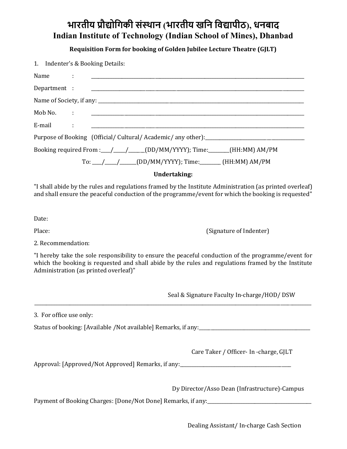## भारतीय प्रौद्योगिकी संस्थान (भारतीय खनि विद्यापीठ), धनबाद Indian Institute of Technology (Indian School of Mines), Dhanbad

Requisition Form for booking of Golden Jubilee Lecture Theatre (GJLT)

1. Indenter's & Booking Details:

| Purpose of Booking (Official/Cultural/Academic/any other):_______________________ |  |                                                            |
|-----------------------------------------------------------------------------------|--|------------------------------------------------------------|
| Booking required From :__/___/_____(DD/MM/YYYY); Time:_______(HH:MM) AM/PM        |  |                                                            |
|                                                                                   |  | To: __/ ___/ ____ (DD/MM/YYYY); Time: ______ (HH:MM) AM/PM |

## Undertaking:

"I shall abide by the rules and regulations framed by the Institute Administration (as printed overleaf) and shall ensure the peaceful conduction of the programme/event for which the booking is requested"

Date:

Place: (Signature of Indenter)

2. Recommendation:

"I hereby take the sole responsibility to ensure the peaceful conduction of the programme/event for which the booking is requested and shall abide by the rules and regulations framed by the Institute Administration (as printed overleaf)"

\_\_\_\_\_\_\_\_\_\_\_\_\_\_\_\_\_\_\_\_\_\_\_\_\_\_\_\_\_\_\_\_\_\_\_\_\_\_\_\_\_\_\_\_\_\_\_\_\_\_\_\_\_\_\_\_\_\_\_\_\_\_\_\_\_\_\_\_\_\_\_\_\_\_\_\_\_\_\_\_\_\_\_\_\_\_\_\_\_\_\_\_\_\_\_\_\_\_\_\_\_\_\_\_\_\_\_\_\_\_\_\_\_\_\_\_\_

Seal & Signature Faculty In-charge/HOD/ DSW

3. For office use only:

Status of booking: [Available /Not available] Remarks, if any:

Care Taker / Officer- In -charge, GJLT

Approval: [Approved/Not Approved] Remarks, if any: \_\_\_\_\_\_\_\_\_\_\_\_\_\_\_\_\_\_\_\_\_\_\_\_\_\_\_\_\_

Dy Director/Asso Dean (Infrastructure)-Campus

Payment of Booking Charges: [Done/Not Done] Remarks, if any:

Dealing Assistant/ In-charge Cash Section